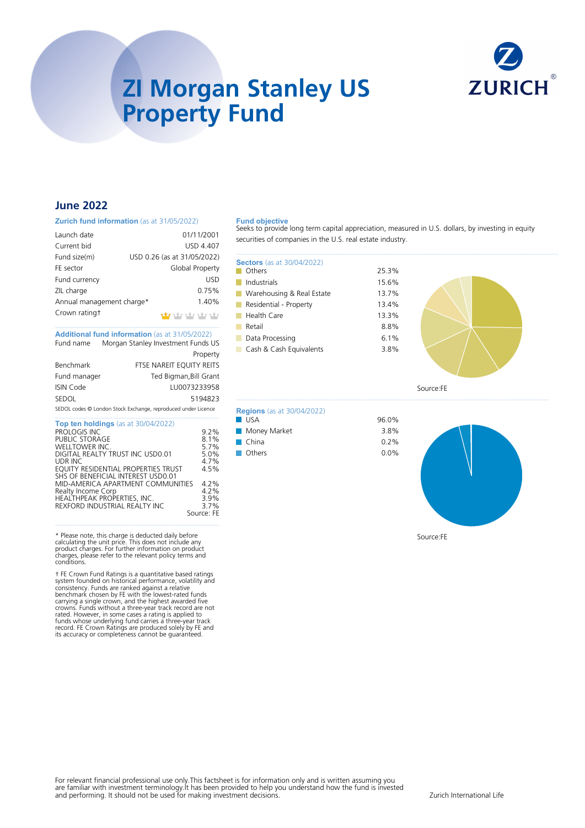

# **ZI Morgan Stanley US Property Fund**

# **June 2022**

#### **Zurich fund information** (as at 31/05/2022)

| Launch date               | 01/11/2001                  |
|---------------------------|-----------------------------|
| Current bid               | <b>USD 4.407</b>            |
| Fund size(m)              | USD 0.26 (as at 31/05/2022) |
| FE sector                 | Global Property             |
| Fund currency             | <b>USD</b>                  |
| ZIL charge                | 0.75%                       |
| Annual management charge* | 1.40%                       |
| Crown ratingt             | haby haby haby haby.        |
|                           |                             |

### .......................................................................................................... **Additional fund information** (as at 31/05/2022) Fund name Morgan Stanley Investment Funds US

|                  | Property                                                      |
|------------------|---------------------------------------------------------------|
| Benchmark        | FTSE NAREIT EQUITY REITS                                      |
| Fund manager     | Ted Bigman, Bill Grant                                        |
| <b>ISIN Code</b> | LU0073233958                                                  |
| <b>SEDOL</b>     | 5194823                                                       |
|                  | SEDOL codes @ London Stock Exchange, reproduced under Licence |

| <b>Top ten holdings</b> (as at 30/04/2022) |            |
|--------------------------------------------|------------|
| PROLOGIS INC                               | 9.2%       |
| PUBLIC STORAGE                             | 8.1%       |
| WELLTOWER INC.                             | 5.7%       |
| DIGITAL REALTY TRUST INC USD0.01           | 5.0%       |
| UDR INC                                    | 4.7%       |
| EQUITY RESIDENTIAL PROPERTIES TRUST        | 4.5%       |
| SHS OF BENEFICIAL INTEREST USD0.01         |            |
| MID-AMERICA APARTMENT COMMUNITIES          | 4.2%       |
| Realty Income Corp                         | 4.2%       |
| HEALTHPEAK PROPERTIES, INC.                | 3.9%       |
| REXFORD INDUSTRIAL REALTY INC.             | $3.7\%$    |
|                                            | Source: FE |
|                                            |            |

\* Please note, this charge is deducted daily before calculating the unit price. This does not include any product charges. For further information on product charges, please refer to the relevant policy terms and conditions.

† FE Crown Fund Ratings is a quantitative based ratings<br>system founded on historical performance, volatility and<br>consistency. Funds are ranked against a relative<br>benchmark chosen by FE with the lowest-rated funds<br>carrying

#### **Fund objective**

Seeks to provide long term capital appreciation, measured in U.S. dollars, by investing in equity securities of companies in the U.S. real estate industry.

> 25.3% 15.6% 13.7% 13.4%

> 96.0%

| <b>Sectors</b> (as at 30/04/2022) |       |
|-----------------------------------|-------|
| Others                            | 25.3% |
| Industrials                       | 15.6% |
| Warehousing & Real Estate         | 13.7% |
| Residential - Property            | 13.4% |
| Health Care                       | 13.3% |
| Retail                            | 8.8%  |
| Data Processing                   | 6.1%  |
| Cash & Cash Equivalents           | 3.8%  |
|                                   |       |

**Regions** (as at 30/04/2022)

**Money Market 3.8%** China 0.2% Others 0.0%



Source:FE



Source:FE